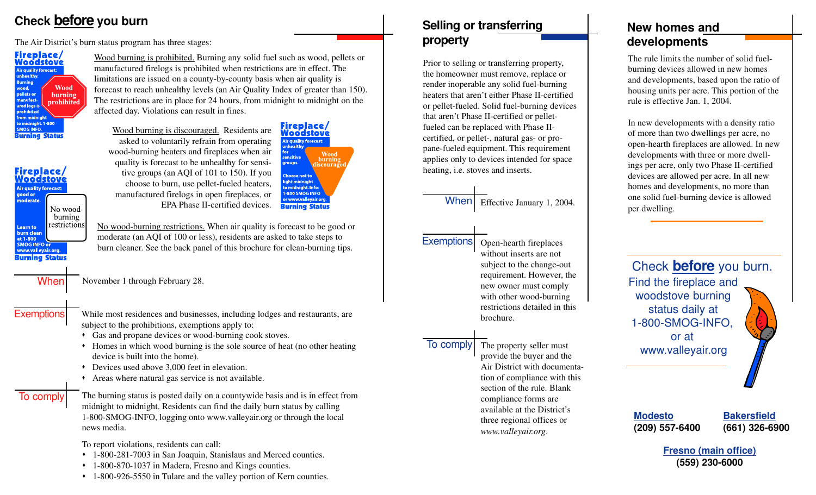# **Check before** you burn **Selling of transferring**

The Air District's burn status program has three stages:



Fireplace/<br><u>Woodstove</u>

**Air quality forecast:** 

No woodburning restrictions

good or

noderate

**Learn to** burn clean at 1-800 **SMOG INFO or** www.valleyair.org. **Burning Status**  Wood burning is prohibited. Burning any solid fuel such as wood, pellets or manufactured firelogs is prohibited when restrictions are in effect. The limitations are issued on a county-by-county basis when air quality is forecast to reach unhealthy levels (an Air Quality Index of greater than 150). The restrictions are in place for 24 hours, from midnight to midnight on the affected day. Violations can result in fines.

Wood burning is discouraged. Residents are asked to voluntarily refrain from operating wood-burning heaters and fireplaces when air quality is forecast to be unhealthy for sensitive groups (an AQI of 101 to 150). If you choose to burn, use pellet-fueled heaters, manufactured firelogs in open fireplaces, or EPA Phase II-certified devices.

Fireplace/<br><u>Woodstove</u> Air quality forecast: **Wood** burning roups. coura hoose not to 1-800 SMOG INFO or www.valleyair.org **Burning Status** 

No wood-burning restrictions. When air quality is forecast to be good or moderate (an AQI of 100 or less), residents are asked to take steps to burn cleaner. See the back panel of this brochure for clean-burning tips.

| <b>When</b> | November 1 through February 28. |
|-------------|---------------------------------|
|             |                                 |

While most residences and businesses, including lodges and restaurants, are subject to the prohibitions, exemptions apply to: **Exemptions** 

• Gas and propane devices or wood-burning cook stoves.

- Homes in which wood burning is the sole source of heat (no other heating device is built into the home).
- $\bullet$  Devices used above 3,000 feet in elevation.
- Areas where natural gas service is not available.
- To comply

The burning status is posted daily on a countywide basis and is in effect from midnight to midnight. Residents can find the daily burn status by calling 1-800-SMOG-INFO, logging onto www.valleyair.org or through the local news media.

To report violations, residents can call:

- 1-800-281-7003 in San Joaquin, Stanislaus and Merced counties.
- 1-800-870-1037 in Madera, Fresno and Kings counties.
- 1-800-926-5550 in Tulare and the valley portion of Kern counties.

# **property**

Prior to selling or transferring property, the homeowner must remove, replace or render inoperable any solid fuel-burning heaters that aren't either Phase II-certified or pellet-fueled. Solid fuel-burning devices that aren't Phase II-certified or pelletfueled can be replaced with Phase IIcertified, or pellet-, natural gas- or propane-fueled equipment. This requirement applies only to devices intended for space heating, i.e. stoves and inserts.

> Effective January 1, 2004. **When**



Open-hearth fireplaces without inserts are not subject to the change-out requirement. However, the new owner must comply with other wood-burning restrictions detailed in this brochure.

## To comply

The property seller must provide the buyer and the Air District with documentation of compliance with this section of the rule. Blank compliance forms are available at the District's three regional offices or *www.valleyair.org*.

## **New homes and development s**

The rule limits the number of solid fuelburning devices allowed in new homes and developments, based upon the ratio of housing units per acre. This portion of the rule is effective Jan. 1, 2004.

In new developments with a density ratio of more than two dwellings per acre, no open-hearth fireplaces are allowed. In new developments with three or more dwellings per acre, only two Phase II-certified devices are allowed per acre. In all new homes and developments, no more than one solid fuel-burning device is allowed per dwelling.



**Modesto Bakersfield**

**(209) 557-6400 (661) 326-6900**